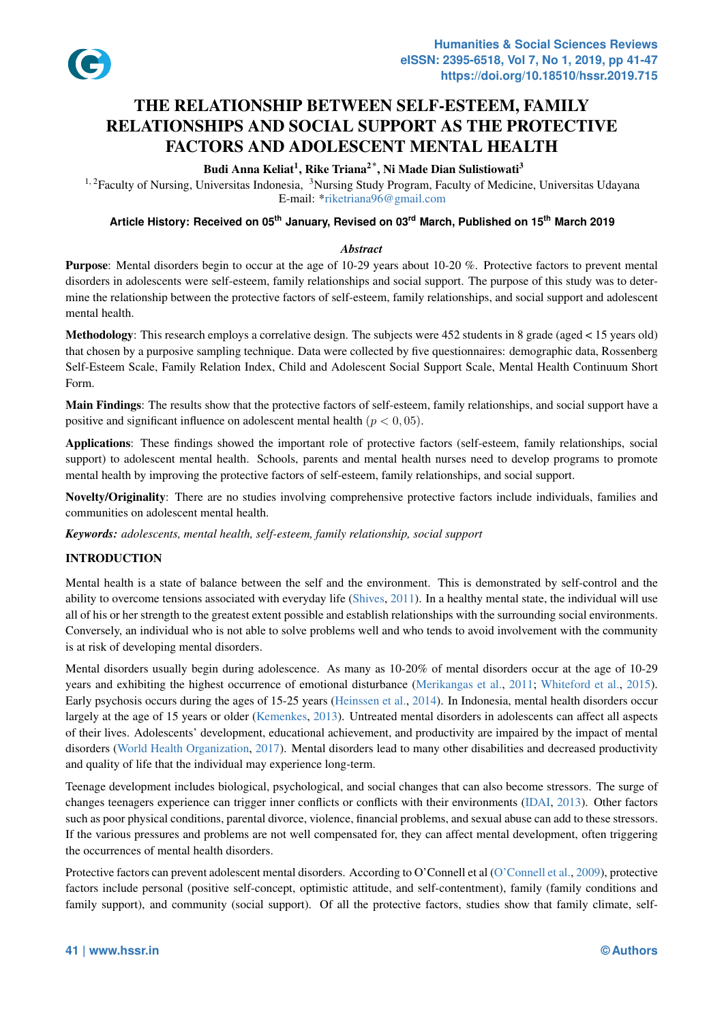

# THE RELATIONSHIP BETWEEN SELF-ESTEEM, FAMILY RELATIONSHIPS AND SOCIAL SUPPORT [AS THE PROTECTIVE](https://doi.org/10.18510/hssr.2019.715) FACTORS AND ADOLESCENT MENTAL HEALTH

Budi Anna Keliat<sup>1</sup>, Rike Triana<sup>2\*</sup>, Ni Made Dian Sulistiowati<sup>3</sup>

<sup>1, 2</sup>Faculty of Nursing, Universitas Indonesia, <sup>3</sup>Nursing Study Program, Faculty of Medicine, Universitas Udayana E-mail: \*riketriana96@gmail.com

# **Article History: Received on 05th January, Revised on 03rd March, Published on 15th March 2019**

### *Abstract*

Purpose: Mental disorders begin to occur at the age [of 10-29 years about 10-](riketriana96@gmail.com )20 %. Protective factors to prevent mental disorders in adolescents were self-esteem, family relationships and social support. The purpose of this study was to determine the relationship between the protective factors of self-esteem, family relationships, and social support and adolescent mental health.

Methodology: This research employs a correlative design. The subjects were 452 students in 8 grade (aged < 15 years old) that chosen by a purposive sampling technique. Data were collected by five questionnaires: demographic data, Rossenberg Self-Esteem Scale, Family Relation Index, Child and Adolescent Social Support Scale, Mental Health Continuum Short Form.

Main Findings: The results show that the protective factors of self-esteem, family relationships, and social support have a positive and significant influence on adolescent mental health  $(p < 0, 05)$ .

Applications: These findings showed the important role of protective factors (self-esteem, family relationships, social support) to adolescent mental health. Schools, parents and mental health nurses need to develop programs to promote mental health by improving the protective factors of self-esteem, family relationships, and social support.

Novelty/Originality: There are no studies involving comprehensive protective factors include individuals, families and communities on adolescent mental health.

*Keywords: adolescents, mental health, self-esteem, family relationship, social support*

### INTRODUCTION

Mental health is a state of balance between the self and the environment. This is demonstrated by self-control and the ability to overcome tensions associated with everyday life (Shives, 2011). In a healthy mental state, the individual will use all of his or her strength to the greatest extent possible and establish relationships with the surrounding social environments. Conversely, an individual who is not able to solve problems well and who tends to avoid involvement with the community is at risk of developing mental disorders.

Mental disorders usually begin during adolescence. As [many as 10-20](#page-5-0)% of mental disorders occur at the age of 10-29 years and exhibiting the highest occurrence of emotional disturbance (Merikangas et al., 2011; Whiteford et al., 2015). Early psychosis occurs during the ages of 15-25 years (Heinssen et al., 2014). In Indonesia, mental health disorders occur largely at the age of 15 years or older (Kemenkes, 2013). Untreated mental disorders in adolescents can affect all aspects of their lives. Adolescents' development, educational achievement, and productivity are impaired by the impact of mental disorders (World Health Organization, 2017). Mental disorders lead to [many other disabil](#page-5-1)i[ties an](#page-5-1)[d decreased productivit](#page-6-0)y and quality of life that the individual may experience lo[ng-term.](#page-5-2)

Teenage development includes biologi[cal, psychological](#page-5-3), and social changes that can also become stressors. The surge of changes te[enagers experience can trigger inn](#page-6-1)er conflicts or conflicts with their environments (IDAI, 2013). Other factors such as poor physical conditions, parental divorce, violence, financial problems, and sexual abuse can add to these stressors. If the various pressures and problems are not well compensated for, they can affect mental development, often triggering the occurrences of mental health disorders.

Protective factors can prevent adolescent mental disorders. According to O'Connell et al (O'Co[nnell et al.,](#page-5-4) 2009), protective factors include personal (positive self-concept, optimistic attitude, and self-contentment), family (family conditions and family support), and community (social support). Of all the protective factors, studies show that family climate, self-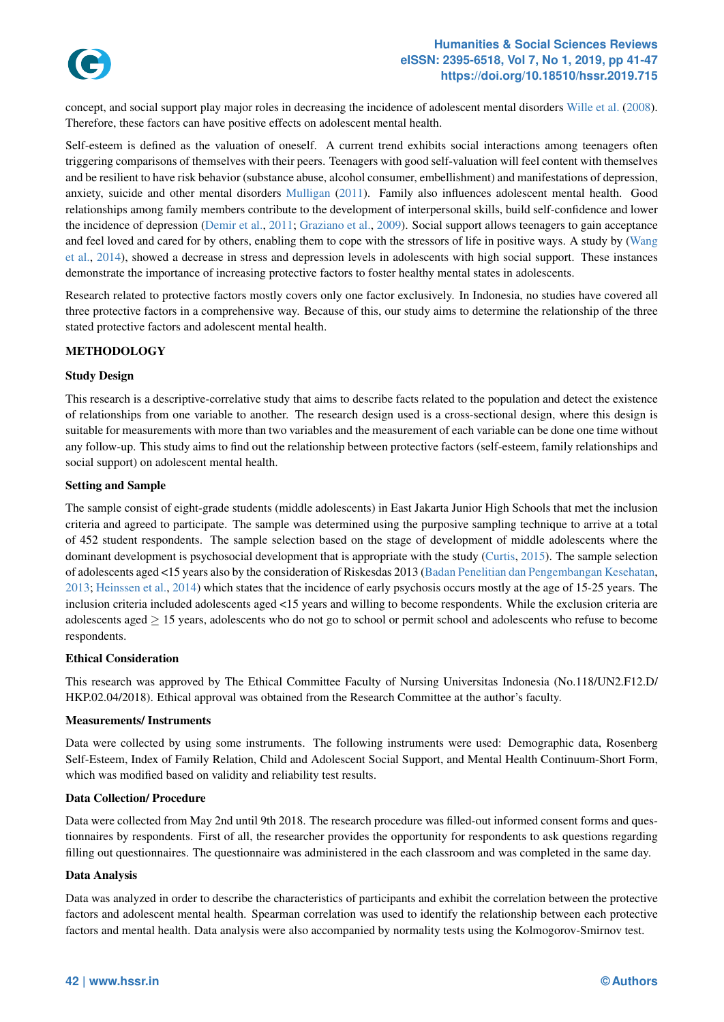

concept, and social support play major roles in decreasing the incidence of adolescent mental disorders Wille et al. (2008). Therefore, these factors can have positive effects on adolescent mental health.

Self-esteem is defined as the valuation of oneself. A current trend exhibi[ts social interactions among teenagers often](https://doi.org/10.18510/hssr.2019.715) triggering comparisons of themselves with their peers. Teenagers with good self-valuation will feel cont[ent with themselve](#page-6-2)s and be resilient to have risk behavior (substance abuse, alcohol consumer, embellishment) and manifestations of depression, anxiety, suicide and other mental disorders Mulligan (2011). Family also influences adolescent mental health. Good relationships among family members contribute to the development of interpersonal skills, build self-confidence and lower the incidence of depression (Demir et al., 2011; Graziano et al., 2009). Social support allows teenagers to gain acceptance and feel loved and cared for by others, enabling them to cope with the stressors of life in positive ways. A study by (Wang et al., 2014), showed a decrease in stress an[d depressi](#page-5-5)o[n leve](#page-5-5)ls in adolescents with high social support. These instances demonstrate the importance of increasing protective factors to foster healthy mental states in adolescents.

Research related to protective factors mostly covers only one factor exclusively. In Indonesia, no studies have cove[red all](#page-5-6) [three](#page-5-6) [protec](#page-5-6)tive factors in a comprehensive way. Because of this, our study aims to determine the relationship of the three stated protective factors and adolescent mental health.

### METHODOLOGY

#### Study Design

This research is a descriptive-correlative study that aims to describe facts related to the population and detect the existence of relationships from one variable to another. The research design used is a cross-sectional design, where this design is suitable for measurements with more than two variables and the measurement of each variable can be done one time without any follow-up. This study aims to find out the relationship between protective factors (self-esteem, family relationships and social support) on adolescent mental health.

#### Setting and Sample

The sample consist of eight-grade students (middle adolescents) in East Jakarta Junior High Schools that met the inclusion criteria and agreed to participate. The sample was determined using the purposive sampling technique to arrive at a total of 452 student respondents. The sample selection based on the stage of development of middle adolescents where the dominant development is psychosocial development that is appropriate with the study (Curtis, 2015). The sample selection of adolescents aged <15 years also by the consideration of Riskesdas 2013 (Badan Penelitian dan Pengembangan Kesehatan, 2013; Heinssen et al., 2014) which states that the incidence of early psychosis occurs mostly at the age of 15-25 years. The inclusion criteria included adolescents aged <15 years and willing to become respondents. While the exclusion criteria are adolescents aged *≥* 15 years, adolescents who do not go to school or permit school an[d adolescents](#page-4-0) who refuse to become respondents.

#### Ethical Consideration

This research was approved by The Ethical Committee Faculty of Nursing Universitas Indonesia (No.118/UN2.F12.D/ HKP.02.04/2018). Ethical approval was obtained from the Research Committee at the author's faculty.

#### Measurements/ Instruments

Data were collected by using some instruments. The following instruments were used: Demographic data, Rosenberg Self-Esteem, Index of Family Relation, Child and Adolescent Social Support, and Mental Health Continuum-Short Form, which was modified based on validity and reliability test results.

#### Data Collection/ Procedure

Data were collected from May 2nd until 9th 2018. The research procedure was filled-out informed consent forms and questionnaires by respondents. First of all, the researcher provides the opportunity for respondents to ask questions regarding filling out questionnaires. The questionnaire was administered in the each classroom and was completed in the same day.

#### Data Analysis

Data was analyzed in order to describe the characteristics of participants and exhibit the correlation between the protective factors and adolescent mental health. Spearman correlation was used to identify the relationship between each protective factors and mental health. Data analysis were also accompanied by normality tests using the Kolmogorov-Smirnov test.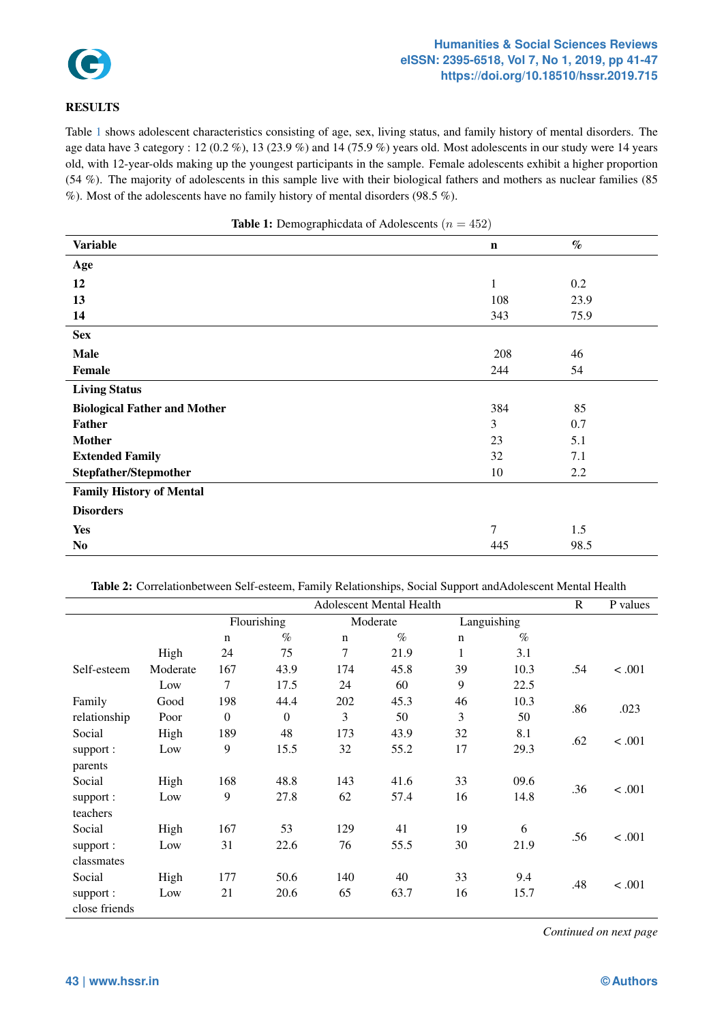

#### **eISSN: 2395-6518, Vol 7, No 1, 2019, pp 41-47 https://doi.org/10.18510/hssr.2019.715**

#### RESULTS

Table 1 shows adolescent characteristics consisting of age, sex, living status, [and family history of mental disorders. The](https://doi.org/10.18510/hssr.2019.715) age data have 3 category : 12 (0.2 %), 13 (23.9 %) and 14 (75.9 %) years old. Most adolescents in our study were 14 years old, with 12-year-olds making up the youngest participants in the sample. Female adolescents exhibit a higher proportion (54 %). The majority of adolescents in this sample live with their biological fathers and mothers as nuclear families (85 %). [Mo](#page-2-0)st of the adolescents have no family history of mental disorders (98.5 %).

<span id="page-2-0"></span>

| <b>Table 1:</b> Demographic data of Adolescents ( $n = 452$ ) |             |      |  |  |  |  |
|---------------------------------------------------------------|-------------|------|--|--|--|--|
| <b>Variable</b>                                               | $\mathbf n$ | $\%$ |  |  |  |  |
| Age                                                           |             |      |  |  |  |  |
| 12                                                            | 1           | 0.2  |  |  |  |  |
| 13                                                            | 108         | 23.9 |  |  |  |  |
| 14                                                            | 343         | 75.9 |  |  |  |  |
| <b>Sex</b>                                                    |             |      |  |  |  |  |
| <b>Male</b>                                                   | 208         | 46   |  |  |  |  |
| Female                                                        | 244         | 54   |  |  |  |  |
| <b>Living Status</b>                                          |             |      |  |  |  |  |
| <b>Biological Father and Mother</b>                           | 384         | 85   |  |  |  |  |
| <b>Father</b>                                                 | 3           | 0.7  |  |  |  |  |
| <b>Mother</b>                                                 | 23          | 5.1  |  |  |  |  |
| <b>Extended Family</b>                                        | 32          | 7.1  |  |  |  |  |
| Stepfather/Stepmother                                         | 10          | 2.2  |  |  |  |  |
| <b>Family History of Mental</b>                               |             |      |  |  |  |  |
| <b>Disorders</b>                                              |             |      |  |  |  |  |
| <b>Yes</b>                                                    | 7           | 1.5  |  |  |  |  |
| No                                                            | 445         | 98.5 |  |  |  |  |

Table 2: Correlationbetween Self-esteem, Family Relationships, Social Support andAdolescent Mental Health

<span id="page-2-1"></span>

|               |          | <b>Adolescent Mental Health</b> |          |             |      |             |      | $\mathbf R$ | P values |
|---------------|----------|---------------------------------|----------|-------------|------|-------------|------|-------------|----------|
|               |          | Flourishing                     |          | Moderate    |      | Languishing |      |             |          |
|               |          | $\mathbf n$                     | $\%$     | $\mathbf n$ | $\%$ | $\mathbf n$ | $\%$ |             |          |
|               | High     | 24                              | 75       | $\tau$      | 21.9 | 1           | 3.1  |             |          |
| Self-esteem   | Moderate | 167                             | 43.9     | 174         | 45.8 | 39          | 10.3 | .54         | < .001   |
|               | Low      | 7                               | 17.5     | 24          | 60   | 9           | 22.5 |             |          |
| Family        | Good     | 198                             | 44.4     | 202         | 45.3 | 46          | 10.3 | .86         | .023     |
| relationship  | Poor     | $\overline{0}$                  | $\Omega$ | 3           | 50   | 3           | 50   |             |          |
| Social        | High     | 189                             | 48       | 173         | 43.9 | 32          | 8.1  |             | < .001   |
| support:      | Low      | 9                               | 15.5     | 32          | 55.2 | 17          | 29.3 | .62         |          |
| parents       |          |                                 |          |             |      |             |      |             |          |
| Social        | High     | 168                             | 48.8     | 143         | 41.6 | 33          | 09.6 |             | < .001   |
| support:      | Low      | 9                               | 27.8     | 62          | 57.4 | 16          | 14.8 | .36         |          |
| teachers      |          |                                 |          |             |      |             |      |             |          |
| Social        | High     | 167                             | 53       | 129         | 41   | 19          | 6    | .56         | < .001   |
| support :     | Low      | 31                              | 22.6     | 76          | 55.5 | 30          | 21.9 |             |          |
| classmates    |          |                                 |          |             |      |             |      |             |          |
| Social        | High     | 177                             | 50.6     | 140         | 40   | 33          | 9.4  | .48         | < .001   |
| support:      | Low      | 21                              | 20.6     | 65          | 63.7 | 16          | 15.7 |             |          |
| close friends |          |                                 |          |             |      |             |      |             |          |

*Continued on next page*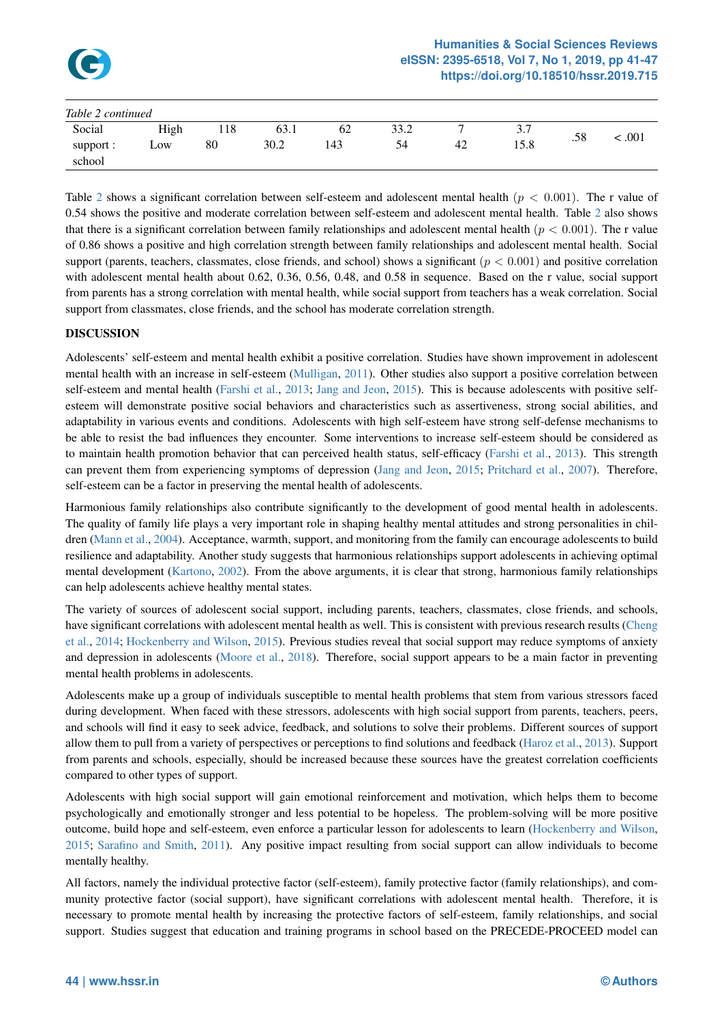

| Table 2 continued |      |     |      |     |      |    |                                     |     |        |
|-------------------|------|-----|------|-----|------|----|-------------------------------------|-----|--------|
| Social            | High | 118 | 63.1 | 62  | 33.2 |    | $\gamma$ $\tau$<br>$\mathfrak{I}$ . | .58 | : .001 |
| support :         | Low  | 80  | 30.2 | 143 | 54   | 42 | 15.8                                |     |        |
| school            |      |     |      |     |      |    |                                     |     |        |

Table 2 shows a significant correlation between self-esteem and adolescent mental health (*p <* 0*.*001). The r value of 0.54 shows the positive and moderate correlation between self-esteem and adolescent mental health. Table 2 also shows that there is a significant correlation between family relationships and adolescent mental health (*p <* 0*.*001). The r value of 0.86 shows a positive and high correlation strength between family relationships and adolescent mental health. Social suppo[rt](#page-2-1) (parents, teachers, classmates, close friends, and school) shows a significant (*p <* 0*.*001) and positive correlation with adolescent mental health about 0.62, 0.36, 0.56, 0.48, and 0.58 in sequence. Based on the r value, s[oc](#page-2-1)ial support from parents has a strong correlation with mental health, while social support from teachers has a weak correlation. Social support from classmates, close friends, and the school has moderate correlation strength.

# DISCUSSION

Adolescents' self-esteem and mental health exhibit a positive correlation. Studies have shown improvement in adolescent mental health with an increase in self-esteem (Mulligan, 2011). Other studies also support a positive correlation between self-esteem and mental health (Farshi et al., 2013; Jang and Jeon, 2015). This is because adolescents with positive selfesteem will demonstrate positive social behaviors and characteristics such as assertiveness, strong social abilities, and adaptability in various events and conditions. Adolescents with high self-esteem have strong self-defense mechanisms to be able to resist the bad influences they enco[unter. Some int](#page-5-5)erventions to increase self-esteem should be considered as to maintain health promotion b[ehavior that](#page-4-1) [can pe](#page-4-1)[rceived health](#page-5-7) s[tatus,](#page-5-7) self-efficacy (Farshi et al., 2013). This strength can prevent them from experiencing symptoms of depression (Jang and Jeon, 2015; Pritchard et al., 2007). Therefore, self-esteem can be a factor in preserving the mental health of adolescents.

Harmonious family relationships also contribute significantly to the development of [good mental](#page-4-1) [health](#page-4-1) in adolescents. The quality of family life plays a very important role in shapin[g healthy menta](#page-5-7)l [attitu](#page-5-7)[des and strong persona](#page-5-8)lities in children (Mann et al., 2004). Acceptance, warmth, support, and monitoring from the family can encourage adolescents to build resilience and adaptability. Another study suggests that harmonious relationships support adolescents in achieving optimal mental development (Kartono, 2002). From the above arguments, it is clear that strong, harmonious family relationships can help adolescents achieve healthy mental states.

The [variety of sources](#page-5-9) of adolescent social support, including parents, teachers, classmates, close friends, and schools, have significant corre[lations w](#page-5-10)i[th ado](#page-5-10)lescent mental health as well. This is consistent with previous research results (Cheng et al., 2014; Hockenberry and Wilson, 2015). Previous studies reveal that social support may reduce symptoms of anxiety and depression in adolescents (Moore et al., 2018). Therefore, social support appears to be a main factor in preventing mental health problems in adolescents.

[Adolescents](#page-4-2) [make up a group of individuals](#page-5-11) susceptible to mental health problems that stem from various stressor[s faced](#page-4-2) during development. When fac[ed with these](#page-5-12) [stress](#page-5-12)ors, adolescents with high social support from parents, teachers, peers, and schools will find it easy to seek advice, feedback, and solutions to solve their problems. Different sources of support allow them to pull from a variety of perspectives or perceptions to find solutions and feedback (Haroz et al., 2013). Support from parents and schools, especially, should be increased because these sources have the greatest correlation coefficients compared to other types of support.

Adolescents with high social support will gain emotional reinforcement and motivation, w[hich helps them t](#page-5-13)o become psychologically and emotionally stronger and less potential to be hopeless. The problem-solving will be more positive outcome, build hope and self-esteem, even enforce a particular lesson for adolescents to learn (Hockenberry and Wilson, 2015; Sarafino and Smith, 2011). Any positive impact resulting from social support can allow individuals to become mentally healthy.

All factors, namely the individual protective factor (self-esteem), family protective factor (famil[y relationships\), and com](#page-5-11)[muni](#page-5-11)t[y protective factor \(](#page-5-14)s[ocial](#page-5-14) support), have significant correlations with adolescent mental health. Therefore, it is necessary to promote mental health by increasing the protective factors of self-esteem, family relationships, and social support. Studies suggest that education and training programs in school based on the PRECEDE-PROCEED model can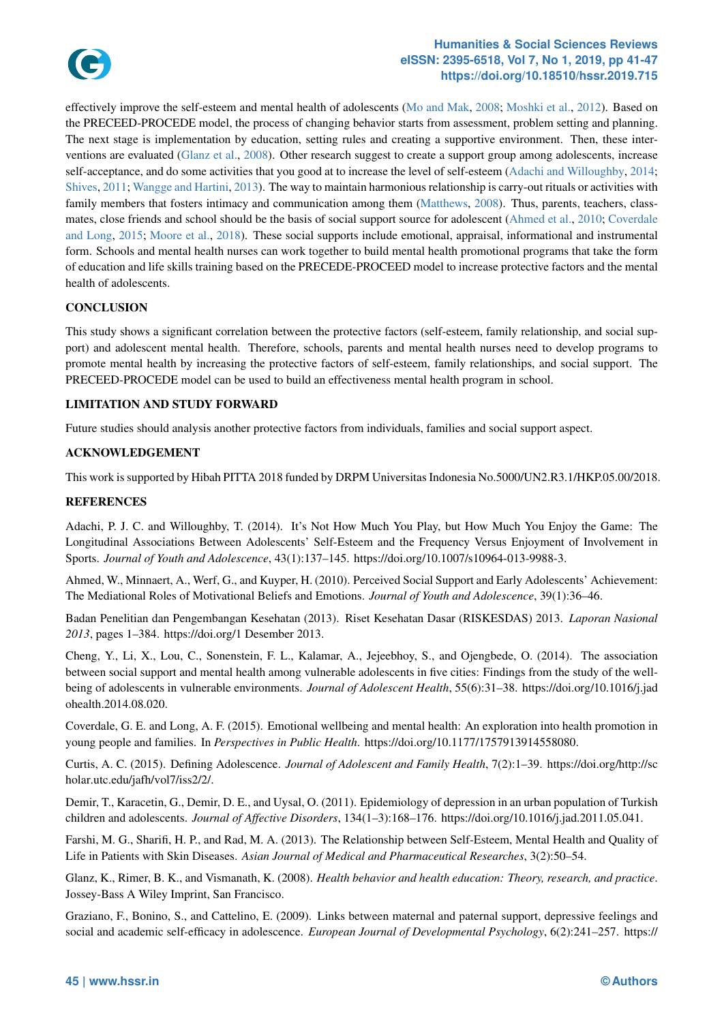

#### **eISSN: 2395-6518, Vol 7, No 1, 2019, pp 41-47 https://doi.org/10.18510/hssr.2019.715**

effectively improve the self-esteem and mental health of adolescents (Mo and Mak, 2008; Moshki et al., 2012). Based on the PRECEED-PROCEDE model, the process of changing behavior starts from assessment, problem setting and planni[ng.](#page-6-3) The next stage is implementation by education, setting rules and creating a [supportive environment. Then, these inter](https://doi.org/10.18510/hssr.2019.715)ventions are evaluated (Glanz et al., 2008). Other research suggest to create a support group among adolescents, increase self-acceptance, and do some activities that you good at to increase the [level of self-esteem](#page-5-15) [\(Adachi and Willoug](#page-5-16)hby, 2014; Shives, 2011; Wangge and Hartini, 2013). The way to maintain harmonious relationship is carry-out rituals or activities with family members that fosters intimacy and communication among them (Matthews, 2008). Thus, parents, teachers, classmates, close friends an[d school should be](#page-4-3) the basis of social support source for adolescent (Ahmed et al., 2010; Coverdale and Long, 2015; Moore et al., 2018). These social supports include emotional, appraisal, [informational and instrumental](#page-4-4) [form. School](#page-5-0)[s and mental health nurses](#page-6-4) can work together to build mental health promotional programs that take the form of education and life skills training based on the PRECEDE-PROCEED [model to in](#page-5-17)c[rease](#page-5-17) protective factors and the mental health of adolescents.

### **CONCLUSION**

This study shows a significant correlation between the protective factors (self-esteem, family relationship, and social support) and adolescent mental health. Therefore, schools, parents and mental health nurses need to develop programs to promote mental health by increasing the protective factors of self-esteem, family relationships, and social support. The PRECEED-PROCEDE model can be used to build an effectiveness mental health program in school.

### LIMITATION AND STUDY FORWARD

Future studies should analysis another protective factors from individuals, families and social support aspect.

### ACKNOWLEDGEMENT

This work is supported by Hibah PITTA 2018 funded by DRPM Universitas Indonesia No.5000/UN2.R3.1/HKP.05.00/2018.

### REFERENCES

Adachi, P. J. C. and Willoughby, T. (2014). It's Not How Much You Play, but How Much You Enjoy the Game: The Longitudinal Associations Between Adolescents' Self-Esteem and the Frequency Versus Enjoyment of Involvement in Sports. *Journal of Youth and Adolescence*, 43(1):137–145. https://doi.org/10.1007/s10964-013-9988-3.

<span id="page-4-4"></span>Ahmed, W., Minnaert, A., Werf, G., and Kuyper, H. (2010). Perceived Social Support and Early Adolescents' Achievement: The Mediational Roles of Motivational Beliefs and Emotions. *Journal of Youth and Adolescence*, 39(1):36–46.

Badan Penelitian dan Pengembangan Kesehatan (2013). Riset Kesehatan Dasar (RISKESDAS) 2013. *Laporan Nasional 2013*, pages 1–384. https://doi.org/1 Desember 2013.

Cheng, Y., Li, X., Lou, C., Sonenstein, F. L., Kalamar, A., Jejeebhoy, S., and Ojengbede, O. (2014). The association between social support and mental health among vulnerable adolescents in five cities: Findings from the study of the wellbeing of adolescents in vulnerable environments. *Journal of Adolescent Health*, 55(6):31–38. https://doi.org/10.1016/j.jad ohealth.2014.08.020.

<span id="page-4-2"></span>Coverdale, G. E. and Long, A. F. (2015). Emotional wellbeing and mental health: An exploration into health promotion in young people and families. In *Perspectives in Public Health*. https://doi.org/10.1177/1757913914558080.

Curtis, A. C. (2015). Defining Adolescence. *Journal of Adolescent and Family Health*, 7(2):1–39. https://doi.org/http://sc holar.utc.edu/jafh/vol7/iss2/2/.

<span id="page-4-0"></span>Demir, T., Karacetin, G., Demir, D. E., and Uysal, O. (2011). Epidemiology of depression in an urban population of Turkish children and adolescents. *Journal of Affective Disorders*, 134(1–3):168–176. https://doi.org/10.1016/j.jad.2011.05.041.

Farshi, M. G., Sharifi, H. P., and Rad, M. A. (2013). The Relationship between Self-Esteem, Mental Health and Quality of Life in Patients with Skin Diseases. *Asian Journal of Medical and Pharmaceutical Researches*, 3(2):50–54.

<span id="page-4-1"></span>Glanz, K., Rimer, B. K., and Vismanath, K. (2008). *Health behavior and health education: Theory, research, and practice*. Jossey-Bass A Wiley Imprint, San Francisco.

<span id="page-4-3"></span>Graziano, F., Bonino, S., and Cattelino, E. (2009). Links between maternal and paternal support, depressive feelings and social and academic self-efficacy in adolescence. *European Journal of Developmental Psychology*, 6(2):241–257. https://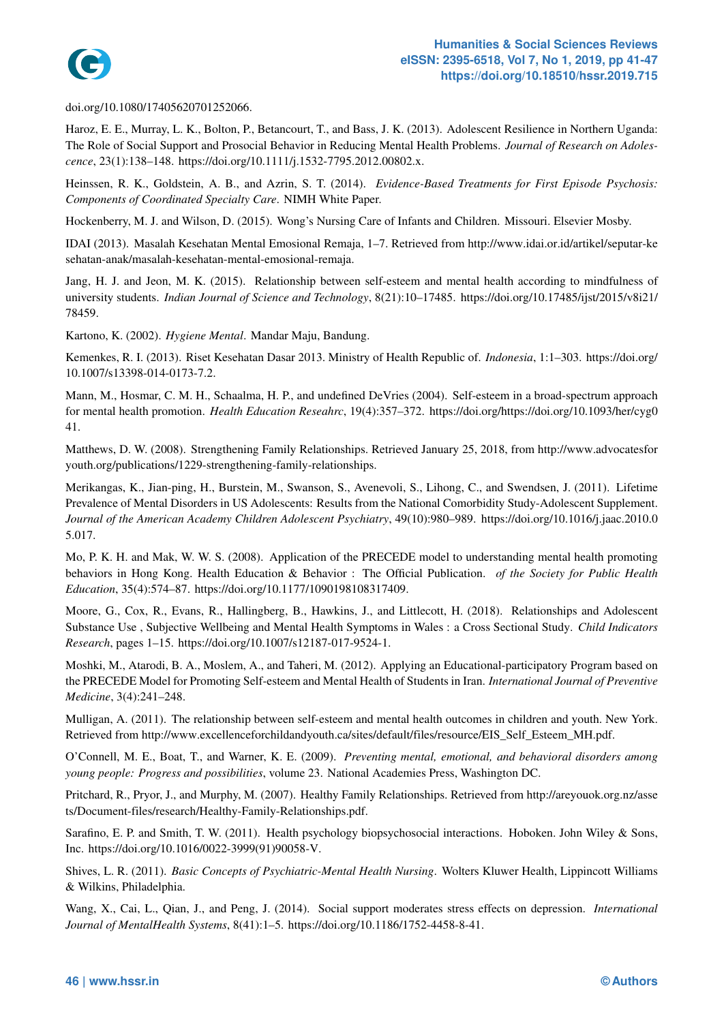

doi.org/10.1080/17405620701252066.

Haroz, E. E., Murray, L. K., Bolton, P., Betancourt, T., and Bass, J. K. (2013)[. Adolescent Resilience in Northern Uganda:](https://doi.org/10.18510/hssr.2019.715) The Role of Social Support and Prosocial Behavior in Reducing Mental Health Problems. *Journal of Research on Adolescence*, 23(1):138–148. https://doi.org/10.1111/j.1532-7795.2012.00802.x.

<span id="page-5-13"></span>Heinssen, R. K., Goldstein, A. B., and Azrin, S. T. (2014). *Evidence-Based Treatments for First Episode Psychosis: Components of Coordinated Specialty Care*. NIMH White Paper.

Hockenberry, M. J. and Wilson, D. (2015). Wong's Nursing Care of Infants and Children. Missouri. Elsevier Mosby.

<span id="page-5-2"></span>IDAI (2013). Masalah Kesehatan Mental Emosional Remaja, 1–7. Retrieved from http://www.idai.or.id/artikel/seputar-ke sehatan-anak/masalah-kesehatan-mental-emosional-remaja.

<span id="page-5-11"></span><span id="page-5-4"></span>Jang, H. J. and Jeon, M. K. (2015). Relationship between self-esteem and mental health according to mindfulness of university students. *Indian Journal of Science and Technology*, 8(21):10–17485. https://doi.org/10.17485/ijst/2015/v8i21/ 78459.

<span id="page-5-7"></span>Kartono, K. (2002). *Hygiene Mental*. Mandar Maju, Bandung.

Kemenkes, R. I. (2013). Riset Kesehatan Dasar 2013. Ministry of Health Republic of. *Indonesia*, 1:1–303. https://doi.org/ 10.1007/s13398-014-0173-7.2.

<span id="page-5-10"></span><span id="page-5-3"></span>Mann, M., Hosmar, C. M. H., Schaalma, H. P., and undefined DeVries (2004). Self-esteem in a broad-spectrum approach for mental health promotion. *Health Education Reseahrc*, 19(4):357–372. https://doi.org/https://doi.org/10.1093/her/cyg0 41.

<span id="page-5-9"></span>Matthews, D. W. (2008). Strengthening Family Relationships. Retrieved January 25, 2018, from http://www.advocatesfor youth.org/publications/1229-strengthening-family-relationships.

<span id="page-5-17"></span>Merikangas, K., Jian-ping, H., Burstein, M., Swanson, S., Avenevoli, S., Lihong, C., and Swendsen, J. (2011). Lifetime Prevalence of Mental Disorders in US Adolescents: Results from the National Comorbidity Study-Adolescent Supplement. *Journal of the American Academy Children Adolescent Psychiatry*, 49(10):980–989. https://doi.org/10.1016/j.jaac.2010.0 5.017.

<span id="page-5-1"></span>Mo, P. K. H. and Mak, W. W. S. (2008). Application of the PRECEDE model to understanding mental health promoting behaviors in Hong Kong. Health Education & Behavior : The Official Publication. *of the Society for Public Health Education*, 35(4):574–87. https://doi.org/10.1177/1090198108317409.

<span id="page-5-15"></span>Moore, G., Cox, R., Evans, R., Hallingberg, B., Hawkins, J., and Littlecott, H. (2018). Relationships and Adolescent Substance Use , Subjective Wellbeing and Mental Health Symptoms in Wales : a Cross Sectional Study. *Child Indicators Research*, pages 1–15. https://doi.org/10.1007/s12187-017-9524-1.

<span id="page-5-12"></span>Moshki, M., Atarodi, B. A., Moslem, A., and Taheri, M. (2012). Applying an Educational-participatory Program based on the PRECEDE Model for Promoting Self-esteem and Mental Health of Students in Iran. *International Journal of Preventive Medicine*, 3(4):241–248.

<span id="page-5-16"></span>Mulligan, A. (2011). The relationship between self-esteem and mental health outcomes in children and youth. New York. Retrieved from http://www.excellenceforchildandyouth.ca/sites/default/files/resource/EIS\_Self\_Esteem\_MH.pdf.

<span id="page-5-5"></span>O'Connell, M. E., Boat, T., and Warner, K. E. (2009). *Preventing mental, emotional, and behavioral disorders among young people: Progress and possibilities*, volume 23. National Academies Press, Washington DC.

Pritchard, R., Pryor, J., and Murphy, M. (2007). Healthy Family Relationships. Retrieved from http://areyouok.org.nz/asse ts/Document-files/research/Healthy-Family-Relationships.pdf.

<span id="page-5-8"></span>Sarafino, E. P. and Smith, T. W. (2011). Health psychology biopsychosocial interactions. Hoboken. John Wiley & Sons, Inc. https://doi.org/10.1016/0022-3999(91)90058-V.

<span id="page-5-14"></span>Shives, L. R. (2011). *Basic Concepts of Psychiatric-Mental Health Nursing*. Wolters Kluwer Health, Lippincott Williams & Wilkins, Philadelphia.

<span id="page-5-6"></span><span id="page-5-0"></span>Wang, X., Cai, L., Qian, J., and Peng, J. (2014). Social support moderates stress effects on depression. *International Journal of MentalHealth Systems*, 8(41):1–5. https://doi.org/10.1186/1752-4458-8-41.